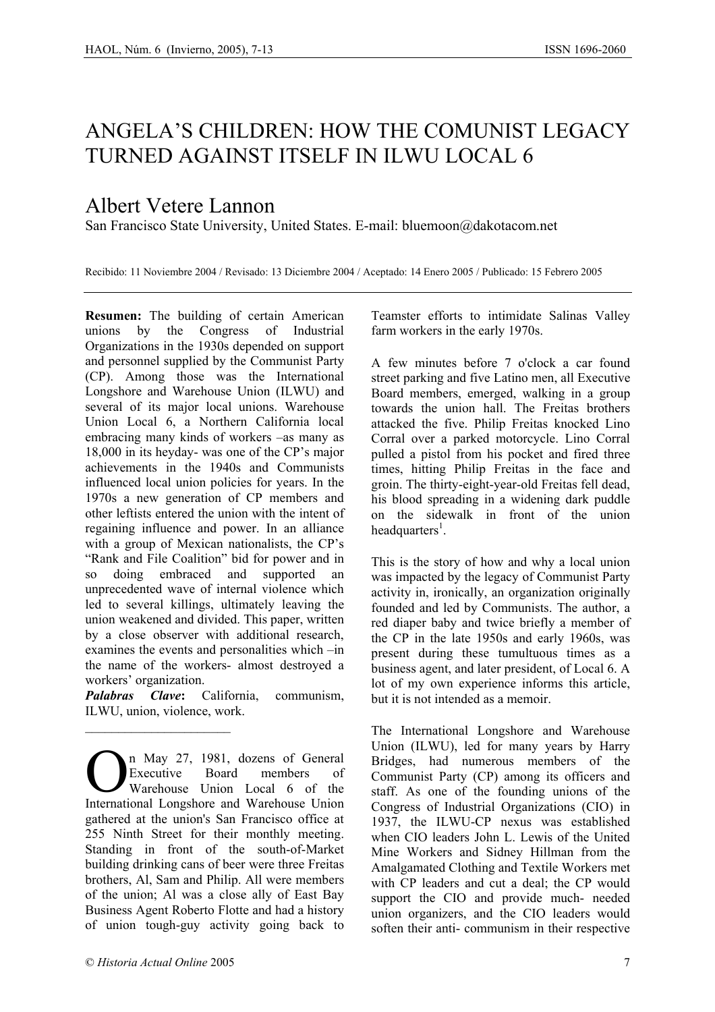## ANGELA'S CHILDREN: HOW THE COMUNIST LEGACY TURNED AGAINST ITSELF IN ILWU LOCAL 6

## Albert Vetere Lannon

San Francisco State University, United States. E-mail: bluemoon@dakotacom.net

Recibido: 11 Noviembre 2004 / Revisado: 13 Diciembre 2004 / Aceptado: 14 Enero 2005 / Publicado: 15 Febrero 2005

**Resumen:** The building of certain American unions by the Congress of Industrial Organizations in the 1930s depended on support and personnel supplied by the Communist Party (CP). Among those was the International Longshore and Warehouse Union (ILWU) and several of its major local unions. Warehouse Union Local 6, a Northern California local embracing many kinds of workers –as many as 18,000 in its heyday- was one of the CP's major achievements in the 1940s and Communists influenced local union policies for years. In the 1970s a new generation of CP members and other leftists entered the union with the intent of regaining influence and power. In an alliance with a group of Mexican nationalists, the CP's "Rank and File Coalition" bid for power and in so doing embraced and supported an unprecedented wave of internal violence which led to several killings, ultimately leaving the union weakened and divided. This paper, written by a close observer with additional research, examines the events and personalities which –in the name of the workers- almost destroyed a workers' organization.

*Palabras Clave***:** California, communism, ILWU, union, violence, work.

n May 27, 1981, dozens of General Executive Board members of Warehouse Union Local 6 of the **CALC** International Executive Board members of Warehouse Union Local 6 of the International Longshore and Warehouse Union gathered at the union's San Francisco office at 255 Ninth Street for their monthly meeting. Standing in front of the south-of-Market building drinking cans of beer were three Freitas brothers, Al, Sam and Philip. All were members of the union; Al was a close ally of East Bay Business Agent Roberto Flotte and had a history of union tough-guy activity going back to

 $\mathcal{L}_\text{max}$ 

Teamster efforts to intimidate Salinas Valley farm workers in the early 1970s.

A few minutes before 7 o'clock a car found street parking and five Latino men, all Executive Board members, emerged, walking in a group towards the union hall. The Freitas brothers attacked the five. Philip Freitas knocked Lino Corral over a parked motorcycle. Lino Corral pulled a pistol from his pocket and fired three times, hitting Philip Freitas in the face and groin. The thirty-eight-year-old Freitas fell dead, his blood spreading in a widening dark puddle on the sidewalk in front of the union headquarters<sup>1</sup>.

This is the story of how and why a local union was impacted by the legacy of Communist Party activity in, ironically, an organization originally founded and led by Communists. The author, a red diaper baby and twice briefly a member of the CP in the late 1950s and early 1960s, was present during these tumultuous times as a business agent, and later president, of Local 6. A lot of my own experience informs this article, but it is not intended as a memoir.

The International Longshore and Warehouse Union (ILWU), led for many years by Harry Bridges, had numerous members of the Communist Party (CP) among its officers and staff. As one of the founding unions of the Congress of Industrial Organizations (CIO) in 1937, the ILWU-CP nexus was established when CIO leaders John L. Lewis of the United Mine Workers and Sidney Hillman from the Amalgamated Clothing and Textile Workers met with CP leaders and cut a deal; the CP would support the CIO and provide much- needed union organizers, and the CIO leaders would soften their anti- communism in their respective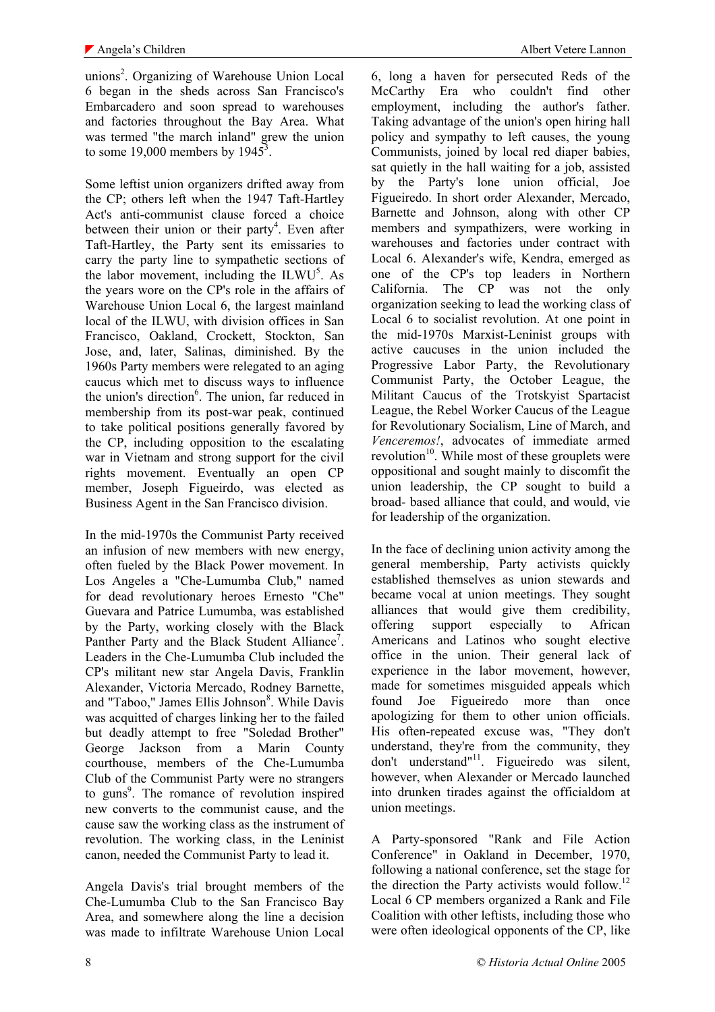unions<sup>2</sup>. Organizing of Warehouse Union Local 6 began in the sheds across San Francisco's Embarcadero and soon spread to warehouses and factories throughout the Bay Area. What was termed "the march inland" grew the union to some 19,000 members by  $1945^3$ .

Some leftist union organizers drifted away from the CP; others left when the 1947 Taft-Hartley Act's anti-communist clause forced a choice between their union or their party<sup>4</sup>. Even after Taft-Hartley, the Party sent its emissaries to carry the party line to sympathetic sections of the labor movement, including the  $ILWU<sup>5</sup>$ . As the years wore on the CP's role in the affairs of Warehouse Union Local 6, the largest mainland local of the ILWU, with division offices in San Francisco, Oakland, Crockett, Stockton, San Jose, and, later, Salinas, diminished. By the 1960s Party members were relegated to an aging caucus which met to discuss ways to influence the union's direction<sup>6</sup>. The union, far reduced in membership from its post-war peak, continued to take political positions generally favored by the CP, including opposition to the escalating war in Vietnam and strong support for the civil rights movement. Eventually an open CP member, Joseph Figueirdo, was elected as Business Agent in the San Francisco division.

In the mid-1970s the Communist Party received an infusion of new members with new energy, often fueled by the Black Power movement. In Los Angeles a "Che-Lumumba Club," named for dead revolutionary heroes Ernesto "Che" Guevara and Patrice Lumumba, was established by the Party, working closely with the Black Panther Party and the Black Student Alliance<sup>7</sup>. Leaders in the Che-Lumumba Club included the CP's militant new star Angela Davis, Franklin Alexander, Victoria Mercado, Rodney Barnette, and "Taboo," James Ellis Johnson<sup>8</sup>. While Davis was acquitted of charges linking her to the failed but deadly attempt to free "Soledad Brother" George Jackson from a Marin County courthouse, members of the Che-Lumumba Club of the Communist Party were no strangers to guns<sup>9</sup>. The romance of revolution inspired new converts to the communist cause, and the cause saw the working class as the instrument of revolution. The working class, in the Leninist canon, needed the Communist Party to lead it.

Angela Davis's trial brought members of the Che-Lumumba Club to the San Francisco Bay Area, and somewhere along the line a decision was made to infiltrate Warehouse Union Local

6, long a haven for persecuted Reds of the McCarthy Era who couldn't find other employment, including the author's father. Taking advantage of the union's open hiring hall policy and sympathy to left causes, the young Communists, joined by local red diaper babies, sat quietly in the hall waiting for a job, assisted by the Party's lone union official, Joe Figueiredo. In short order Alexander, Mercado, Barnette and Johnson, along with other CP members and sympathizers, were working in warehouses and factories under contract with Local 6. Alexander's wife, Kendra, emerged as one of the CP's top leaders in Northern California. The CP was not the only organization seeking to lead the working class of Local 6 to socialist revolution. At one point in the mid-1970s Marxist-Leninist groups with active caucuses in the union included the Progressive Labor Party, the Revolutionary Communist Party, the October League, the Militant Caucus of the Trotskyist Spartacist League, the Rebel Worker Caucus of the League for Revolutionary Socialism, Line of March, and *Venceremos!*, advocates of immediate armed revolution<sup>10</sup>. While most of these grouplets were oppositional and sought mainly to discomfit the union leadership, the CP sought to build a broad- based alliance that could, and would, vie for leadership of the organization.

In the face of declining union activity among the general membership, Party activists quickly established themselves as union stewards and became vocal at union meetings. They sought alliances that would give them credibility, offering support especially to African Americans and Latinos who sought elective office in the union. Their general lack of experience in the labor movement, however, made for sometimes misguided appeals which found Joe Figueiredo more than once apologizing for them to other union officials. His often-repeated excuse was, "They don't understand, they're from the community, they don't understand"<sup>11</sup>. Figueiredo was silent, however, when Alexander or Mercado launched into drunken tirades against the officialdom at union meetings.

A Party-sponsored "Rank and File Action Conference" in Oakland in December, 1970, following a national conference, set the stage for the direction the Party activists would follow.<sup>12</sup> Local 6 CP members organized a Rank and File Coalition with other leftists, including those who were often ideological opponents of the CP, like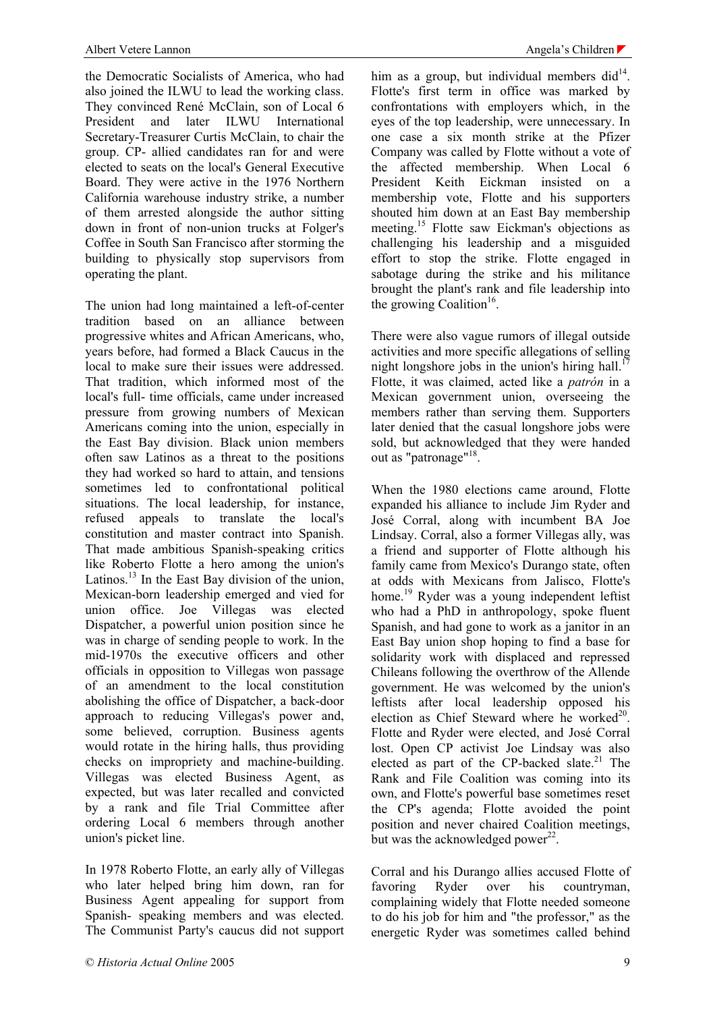the Democratic Socialists of America, who had also joined the ILWU to lead the working class. They convinced René McClain, son of Local 6 President and later ILWU International Secretary-Treasurer Curtis McClain, to chair the group. CP- allied candidates ran for and were elected to seats on the local's General Executive Board. They were active in the 1976 Northern California warehouse industry strike, a number of them arrested alongside the author sitting down in front of non-union trucks at Folger's Coffee in South San Francisco after storming the building to physically stop supervisors from operating the plant.

The union had long maintained a left-of-center tradition based on an alliance between progressive whites and African Americans, who, years before, had formed a Black Caucus in the local to make sure their issues were addressed. That tradition, which informed most of the local's full- time officials, came under increased pressure from growing numbers of Mexican Americans coming into the union, especially in the East Bay division. Black union members often saw Latinos as a threat to the positions they had worked so hard to attain, and tensions sometimes led to confrontational political situations. The local leadership, for instance, refused appeals to translate the local's constitution and master contract into Spanish. That made ambitious Spanish-speaking critics like Roberto Flotte a hero among the union's Latinos. $^{13}$  In the East Bay division of the union, Mexican-born leadership emerged and vied for union office. Joe Villegas was elected Dispatcher, a powerful union position since he was in charge of sending people to work. In the mid-1970s the executive officers and other officials in opposition to Villegas won passage of an amendment to the local constitution abolishing the office of Dispatcher, a back-door approach to reducing Villegas's power and, some believed, corruption. Business agents would rotate in the hiring halls, thus providing checks on impropriety and machine-building. Villegas was elected Business Agent, as expected, but was later recalled and convicted by a rank and file Trial Committee after ordering Local 6 members through another union's picket line.

In 1978 Roberto Flotte, an early ally of Villegas who later helped bring him down, ran for Business Agent appealing for support from Spanish- speaking members and was elected. The Communist Party's caucus did not support him as a group, but individual members  $did^{14}$ . Flotte's first term in office was marked by confrontations with employers which, in the eyes of the top leadership, were unnecessary. In one case a six month strike at the Pfizer Company was called by Flotte without a vote of the affected membership. When Local 6 President Keith Eickman insisted on a membership vote, Flotte and his supporters shouted him down at an East Bay membership meeting.<sup>15</sup> Flotte saw Eickman's objections as challenging his leadership and a misguided effort to stop the strike. Flotte engaged in sabotage during the strike and his militance brought the plant's rank and file leadership into the growing Coalition<sup>16</sup>.

There were also vague rumors of illegal outside activities and more specific allegations of selling night longshore jobs in the union's hiring hall.<sup>1</sup> Flotte, it was claimed, acted like a *patrón* in a Mexican government union, overseeing the members rather than serving them. Supporters later denied that the casual longshore jobs were sold, but acknowledged that they were handed out as "patronage"<sup>18</sup>.

When the 1980 elections came around, Flotte expanded his alliance to include Jim Ryder and José Corral, along with incumbent BA Joe Lindsay. Corral, also a former Villegas ally, was a friend and supporter of Flotte although his family came from Mexico's Durango state, often at odds with Mexicans from Jalisco, Flotte's home.<sup>19</sup> Ryder was a young independent leftist who had a PhD in anthropology, spoke fluent Spanish, and had gone to work as a janitor in an East Bay union shop hoping to find a base for solidarity work with displaced and repressed Chileans following the overthrow of the Allende government. He was welcomed by the union's leftists after local leadership opposed his election as Chief Steward where he worked<sup>20</sup>. Flotte and Ryder were elected, and José Corral lost. Open CP activist Joe Lindsay was also elected as part of the CP-backed slate.<sup>21</sup> The Rank and File Coalition was coming into its own, and Flotte's powerful base sometimes reset the CP's agenda; Flotte avoided the point position and never chaired Coalition meetings, but was the acknowledged power $^{22}$ .

Corral and his Durango allies accused Flotte of favoring Ryder over his countryman, complaining widely that Flotte needed someone to do his job for him and "the professor," as the energetic Ryder was sometimes called behind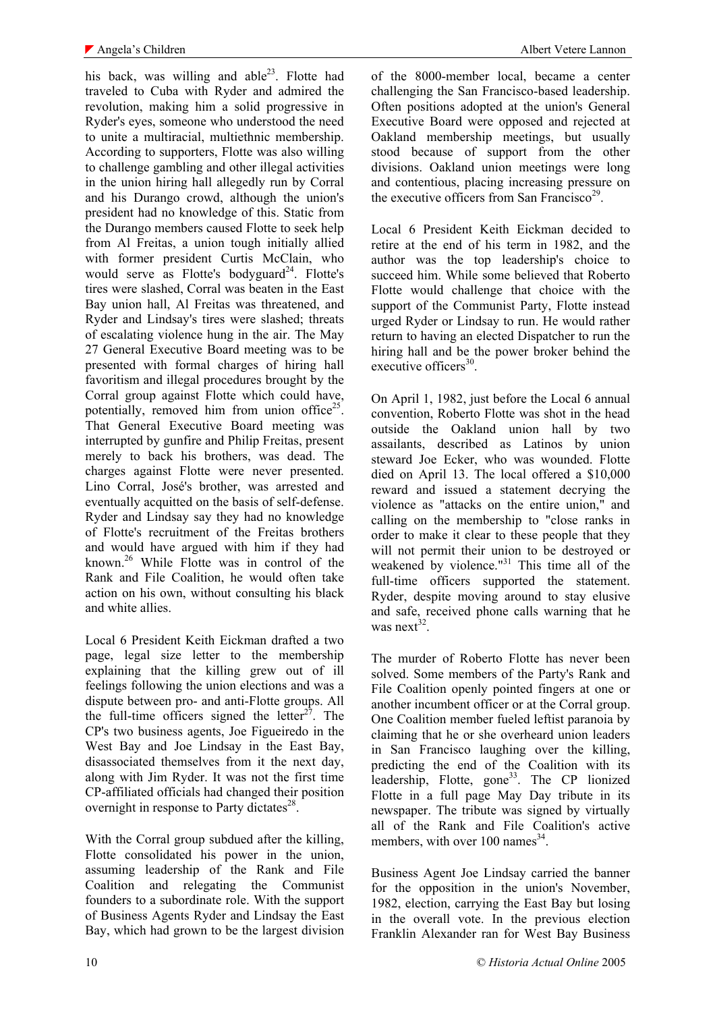his back, was willing and able<sup>23</sup>. Flotte had traveled to Cuba with Ryder and admired the revolution, making him a solid progressive in Ryder's eyes, someone who understood the need to unite a multiracial, multiethnic membership. According to supporters, Flotte was also willing to challenge gambling and other illegal activities in the union hiring hall allegedly run by Corral and his Durango crowd, although the union's president had no knowledge of this. Static from the Durango members caused Flotte to seek help from Al Freitas, a union tough initially allied with former president Curtis McClain, who would serve as Flotte's bodyguard<sup>24</sup>. Flotte's tires were slashed, Corral was beaten in the East Bay union hall, Al Freitas was threatened, and Ryder and Lindsay's tires were slashed; threats of escalating violence hung in the air. The May 27 General Executive Board meeting was to be presented with formal charges of hiring hall favoritism and illegal procedures brought by the Corral group against Flotte which could have, potentially, removed him from union office<sup>25</sup>. That General Executive Board meeting was interrupted by gunfire and Philip Freitas, present merely to back his brothers, was dead. The charges against Flotte were never presented. Lino Corral, José's brother, was arrested and eventually acquitted on the basis of self-defense. Ryder and Lindsay say they had no knowledge of Flotte's recruitment of the Freitas brothers and would have argued with him if they had known.26 While Flotte was in control of the Rank and File Coalition, he would often take action on his own, without consulting his black and white allies.

Local 6 President Keith Eickman drafted a two page, legal size letter to the membership explaining that the killing grew out of ill feelings following the union elections and was a dispute between pro- and anti-Flotte groups. All the full-time officers signed the letter $2^7$ . The CP's two business agents, Joe Figueiredo in the West Bay and Joe Lindsay in the East Bay, disassociated themselves from it the next day, along with Jim Ryder. It was not the first time CP-affiliated officials had changed their position overnight in response to Party dictates $28$ .

With the Corral group subdued after the killing. Flotte consolidated his power in the union, assuming leadership of the Rank and File Coalition and relegating the Communist founders to a subordinate role. With the support of Business Agents Ryder and Lindsay the East Bay, which had grown to be the largest division

of the 8000-member local, became a center challenging the San Francisco-based leadership. Often positions adopted at the union's General Executive Board were opposed and rejected at Oakland membership meetings, but usually stood because of support from the other divisions. Oakland union meetings were long and contentious, placing increasing pressure on the executive officers from San Francisco<sup>29</sup>.

Local 6 President Keith Eickman decided to retire at the end of his term in 1982, and the author was the top leadership's choice to succeed him. While some believed that Roberto Flotte would challenge that choice with the support of the Communist Party, Flotte instead urged Ryder or Lindsay to run. He would rather return to having an elected Dispatcher to run the hiring hall and be the power broker behind the executive officers $30$ .

On April 1, 1982, just before the Local 6 annual convention, Roberto Flotte was shot in the head outside the Oakland union hall by two assailants, described as Latinos by union steward Joe Ecker, who was wounded. Flotte died on April 13. The local offered a \$10,000 reward and issued a statement decrying the violence as "attacks on the entire union," and calling on the membership to "close ranks in order to make it clear to these people that they will not permit their union to be destroyed or weakened by violence." $31$  This time all of the full-time officers supported the statement. Ryder, despite moving around to stay elusive and safe, received phone calls warning that he was next<sup>32</sup>.

The murder of Roberto Flotte has never been solved. Some members of the Party's Rank and File Coalition openly pointed fingers at one or another incumbent officer or at the Corral group. One Coalition member fueled leftist paranoia by claiming that he or she overheard union leaders in San Francisco laughing over the killing, predicting the end of the Coalition with its leadership, Flotte, gone<sup>33</sup>. The CP lionized Flotte in a full page May Day tribute in its newspaper. The tribute was signed by virtually all of the Rank and File Coalition's active members, with over  $100$  names<sup>34</sup>.

Business Agent Joe Lindsay carried the banner for the opposition in the union's November, 1982, election, carrying the East Bay but losing in the overall vote. In the previous election Franklin Alexander ran for West Bay Business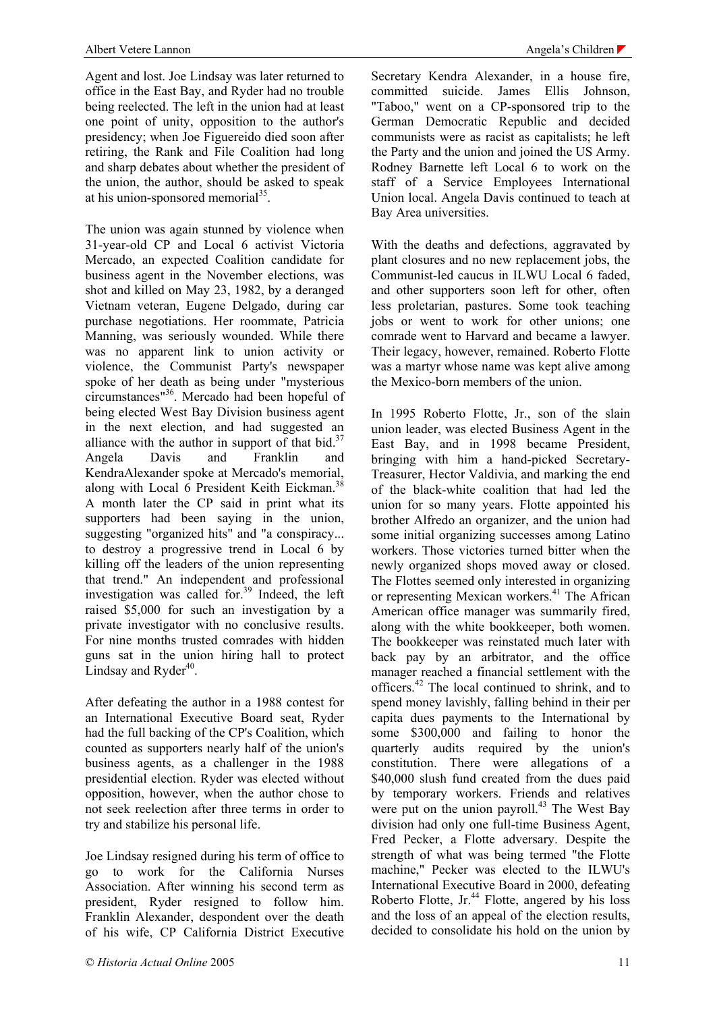Agent and lost. Joe Lindsay was later returned to office in the East Bay, and Ryder had no trouble being reelected. The left in the union had at least one point of unity, opposition to the author's presidency; when Joe Figuereido died soon after retiring, the Rank and File Coalition had long and sharp debates about whether the president of the union, the author, should be asked to speak at his union-sponsored memorial $^{35}$ .

The union was again stunned by violence when 31-year-old CP and Local 6 activist Victoria Mercado, an expected Coalition candidate for business agent in the November elections, was shot and killed on May 23, 1982, by a deranged Vietnam veteran, Eugene Delgado, during car purchase negotiations. Her roommate, Patricia Manning, was seriously wounded. While there was no apparent link to union activity or violence, the Communist Party's newspaper spoke of her death as being under "mysterious circumstances"36. Mercado had been hopeful of being elected West Bay Division business agent in the next election, and had suggested an alliance with the author in support of that bid.<sup>37</sup> Angela Davis and Franklin and KendraAlexander spoke at Mercado's memorial, along with Local 6 President Keith Eickman.<sup>38</sup> A month later the CP said in print what its supporters had been saying in the union, suggesting "organized hits" and "a conspiracy... to destroy a progressive trend in Local 6 by killing off the leaders of the union representing that trend." An independent and professional investigation was called for. $39$  Indeed, the left raised \$5,000 for such an investigation by a private investigator with no conclusive results. For nine months trusted comrades with hidden guns sat in the union hiring hall to protect Lindsay and Ryder $40$ .

After defeating the author in a 1988 contest for an International Executive Board seat, Ryder had the full backing of the CP's Coalition, which counted as supporters nearly half of the union's business agents, as a challenger in the 1988 presidential election. Ryder was elected without opposition, however, when the author chose to not seek reelection after three terms in order to try and stabilize his personal life.

Joe Lindsay resigned during his term of office to go to work for the California Nurses Association. After winning his second term as president, Ryder resigned to follow him. Franklin Alexander, despondent over the death of his wife, CP California District Executive

Secretary Kendra Alexander, in a house fire, committed suicide. James Ellis Johnson, "Taboo," went on a CP-sponsored trip to the German Democratic Republic and decided communists were as racist as capitalists; he left the Party and the union and joined the US Army. Rodney Barnette left Local 6 to work on the staff of a Service Employees International Union local. Angela Davis continued to teach at Bay Area universities.

With the deaths and defections, aggravated by plant closures and no new replacement jobs, the Communist-led caucus in ILWU Local 6 faded, and other supporters soon left for other, often less proletarian, pastures. Some took teaching jobs or went to work for other unions; one comrade went to Harvard and became a lawyer. Their legacy, however, remained. Roberto Flotte was a martyr whose name was kept alive among the Mexico-born members of the union.

In 1995 Roberto Flotte, Jr., son of the slain union leader, was elected Business Agent in the East Bay, and in 1998 became President, bringing with him a hand-picked Secretary-Treasurer, Hector Valdivia, and marking the end of the black-white coalition that had led the union for so many years. Flotte appointed his brother Alfredo an organizer, and the union had some initial organizing successes among Latino workers. Those victories turned bitter when the newly organized shops moved away or closed. The Flottes seemed only interested in organizing or representing Mexican workers.<sup>41</sup> The African American office manager was summarily fired, along with the white bookkeeper, both women. The bookkeeper was reinstated much later with back pay by an arbitrator, and the office manager reached a financial settlement with the officers.42 The local continued to shrink, and to spend money lavishly, falling behind in their per capita dues payments to the International by some \$300,000 and failing to honor the quarterly audits required by the union's constitution. There were allegations of a \$40,000 slush fund created from the dues paid by temporary workers. Friends and relatives were put on the union payroll. $43$  The West Bay division had only one full-time Business Agent, Fred Pecker, a Flotte adversary. Despite the strength of what was being termed "the Flotte machine," Pecker was elected to the ILWU's International Executive Board in 2000, defeating Roberto Flotte, Jr. $44$  Flotte, angered by his loss and the loss of an appeal of the election results, decided to consolidate his hold on the union by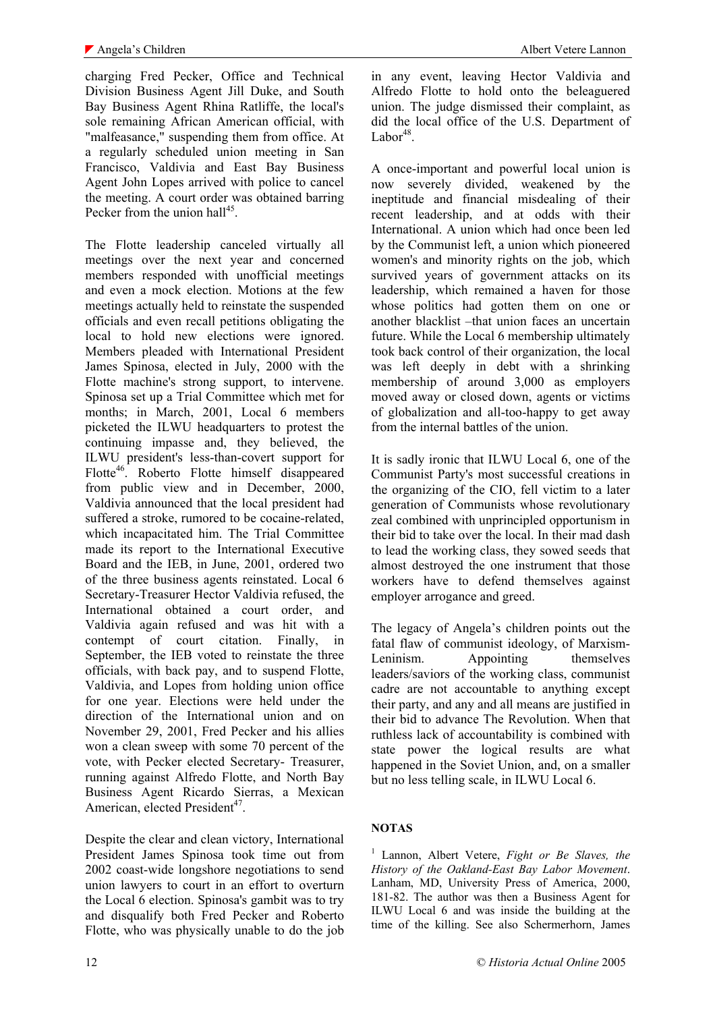charging Fred Pecker, Office and Technical Division Business Agent Jill Duke, and South Bay Business Agent Rhina Ratliffe, the local's sole remaining African American official, with "malfeasance," suspending them from office. At a regularly scheduled union meeting in San Francisco, Valdivia and East Bay Business Agent John Lopes arrived with police to cancel the meeting. A court order was obtained barring Pecker from the union hall<sup>45</sup>.

The Flotte leadership canceled virtually all meetings over the next year and concerned members responded with unofficial meetings and even a mock election. Motions at the few meetings actually held to reinstate the suspended officials and even recall petitions obligating the local to hold new elections were ignored. Members pleaded with International President James Spinosa, elected in July, 2000 with the Flotte machine's strong support, to intervene. Spinosa set up a Trial Committee which met for months; in March, 2001, Local 6 members picketed the ILWU headquarters to protest the continuing impasse and, they believed, the ILWU president's less-than-covert support for Flotte<sup>46</sup>. Roberto Flotte himself disappeared from public view and in December, 2000, Valdivia announced that the local president had suffered a stroke, rumored to be cocaine-related, which incapacitated him. The Trial Committee made its report to the International Executive Board and the IEB, in June, 2001, ordered two of the three business agents reinstated. Local 6 Secretary-Treasurer Hector Valdivia refused, the International obtained a court order, and Valdivia again refused and was hit with a contempt of court citation. Finally, in September, the IEB voted to reinstate the three officials, with back pay, and to suspend Flotte, Valdivia, and Lopes from holding union office for one year. Elections were held under the direction of the International union and on November 29, 2001, Fred Pecker and his allies won a clean sweep with some 70 percent of the vote, with Pecker elected Secretary- Treasurer, running against Alfredo Flotte, and North Bay Business Agent Ricardo Sierras, a Mexican American, elected President<sup>47</sup>.

Despite the clear and clean victory, International President James Spinosa took time out from 2002 coast-wide longshore negotiations to send union lawyers to court in an effort to overturn the Local 6 election. Spinosa's gambit was to try and disqualify both Fred Pecker and Roberto Flotte, who was physically unable to do the job

in any event, leaving Hector Valdivia and Alfredo Flotte to hold onto the beleaguered union. The judge dismissed their complaint, as did the local office of the U.S. Department of  $Labor<sup>48</sup>$ .

A once-important and powerful local union is now severely divided, weakened by the ineptitude and financial misdealing of their recent leadership, and at odds with their International. A union which had once been led by the Communist left, a union which pioneered women's and minority rights on the job, which survived years of government attacks on its leadership, which remained a haven for those whose politics had gotten them on one or another blacklist –that union faces an uncertain future. While the Local 6 membership ultimately took back control of their organization, the local was left deeply in debt with a shrinking membership of around 3,000 as employers moved away or closed down, agents or victims of globalization and all-too-happy to get away from the internal battles of the union.

It is sadly ironic that ILWU Local 6, one of the Communist Party's most successful creations in the organizing of the CIO, fell victim to a later generation of Communists whose revolutionary zeal combined with unprincipled opportunism in their bid to take over the local. In their mad dash to lead the working class, they sowed seeds that almost destroyed the one instrument that those workers have to defend themselves against employer arrogance and greed.

The legacy of Angela's children points out the fatal flaw of communist ideology, of Marxism-Leninism. Appointing themselves leaders/saviors of the working class, communist cadre are not accountable to anything except their party, and any and all means are justified in their bid to advance The Revolution. When that ruthless lack of accountability is combined with state power the logical results are what happened in the Soviet Union, and, on a smaller but no less telling scale, in ILWU Local 6.

## **NOTAS**

1 Lannon, Albert Vetere, *Fight or Be Slaves, the History of the Oakland-East Bay Labor Movement*. Lanham, MD, University Press of America, 2000, 181-82. The author was then a Business Agent for ILWU Local 6 and was inside the building at the time of the killing. See also Schermerhorn, James